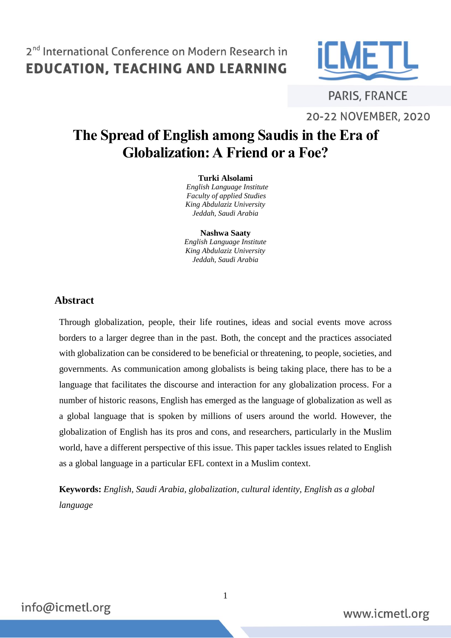

**PARIS, FRANCE** 20-22 NOVEMBER, 2020

# **The Spread of English among Saudis in the Era of Globalization: A Friend or a Foe?**

#### **Turki Alsolami**

 *English Language Institute Faculty of applied Studies King Abdulaziz University Jeddah, Saudi Arabia*

**Nashwa Saaty**

*English Language Institute King Abdulaziz University Jeddah, Saudi Arabia*

#### **Abstract**

Through globalization, people, their life routines, ideas and social events move across borders to a larger degree than in the past. Both, the concept and the practices associated with globalization can be considered to be beneficial or threatening, to people, societies, and governments. As communication among globalists is being taking place, there has to be a language that facilitates the discourse and interaction for any globalization process. For a number of historic reasons, English has emerged as the language of globalization as well as a global language that is spoken by millions of users around the world. However, the globalization of English has its pros and cons, and researchers, particularly in the Muslim world, have a different perspective of this issue. This paper tackles issues related to English as a global language in a particular EFL context in a Muslim context.

**Keywords:** *English, Saudi Arabia, globalization, cultural identity, English as a global language*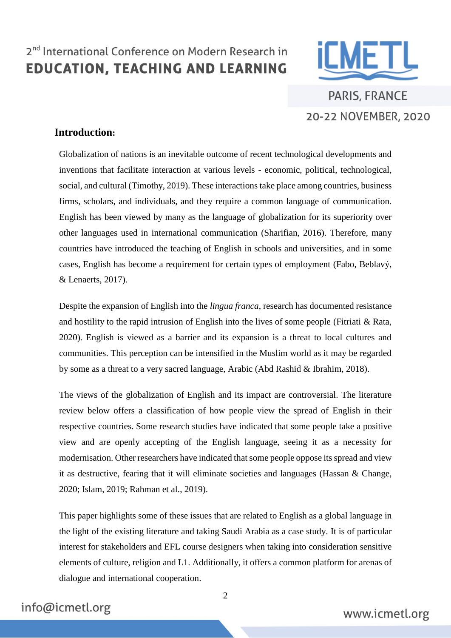

**PARIS, FRANCE** 20-22 NOVEMBER, 2020

#### **Introduction:**

Globalization of nations is an inevitable outcome of recent technological developments and inventions that facilitate interaction at various levels - economic, political, technological, social, and cultural (Timothy, 2019). These interactions take place among countries, business firms, scholars, and individuals, and they require a common language of communication. English has been viewed by many as the language of globalization for its superiority over other languages used in international communication (Sharifian, 2016). Therefore, many countries have introduced the teaching of English in schools and universities, and in some cases, English has become a requirement for certain types of employment (Fabo, Beblavý, & Lenaerts, 2017).

Despite the expansion of English into the *lingua franca*, research has documented resistance and hostility to the rapid intrusion of English into the lives of some people (Fitriati  $\&$  Rata, 2020). English is viewed as a barrier and its expansion is a threat to local cultures and communities. This perception can be intensified in the Muslim world as it may be regarded by some as a threat to a very sacred language, Arabic (Abd Rashid & Ibrahim, 2018).

The views of the globalization of English and its impact are controversial. The literature review below offers a classification of how people view the spread of English in their respective countries. Some research studies have indicated that some people take a positive view and are openly accepting of the English language, seeing it as a necessity for modernisation. Other researchers have indicated that some people oppose its spread and view it as destructive, fearing that it will eliminate societies and languages (Hassan & Change, 2020; Islam, 2019; Rahman et al., 2019).

This paper highlights some of these issues that are related to English as a global language in the light of the existing literature and taking Saudi Arabia as a case study. It is of particular interest for stakeholders and EFL course designers when taking into consideration sensitive elements of culture, religion and L1. Additionally, it offers a common platform for arenas of dialogue and international cooperation.

### info@icmetl.org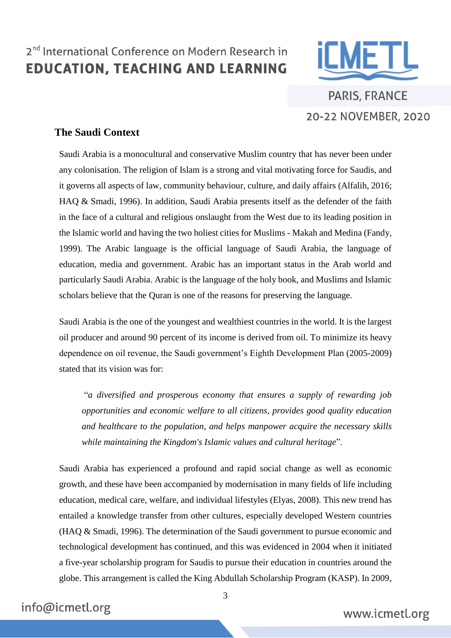

**PARIS, FRANCE** 20-22 NOVEMBER, 2020

#### **The Saudi Context**

Saudi Arabia is a monocultural and conservative Muslim country that has never been under any colonisation. The religion of Islam is a strong and vital motivating force for Saudis, and it governs all aspects of law, community behaviour, culture, and daily affairs (Alfalih, 2016; HAQ & Smadi, 1996). In addition, Saudi Arabia presents itself as the defender of the faith in the face of a cultural and religious onslaught from the West due to its leading position in the Islamic world and having the two holiest cities for Muslims - Makah and Medina (Fandy, 1999). The Arabic language is the official language of Saudi Arabia, the language of education, media and government. Arabic has an important status in the Arab world and particularly Saudi Arabia. Arabic is the language of the holy book, and Muslims and Islamic scholars believe that the Quran is one of the reasons for preserving the language.

Saudi Arabia is the one of the youngest and wealthiest countries in the world. It is the largest oil producer and around 90 percent of its income is derived from oil. To minimize its heavy dependence on oil revenue, the Saudi government's Eighth Development Plan (2005-2009) stated that its vision was for:

"*a diversified and prosperous economy that ensures a supply of rewarding job opportunities and economic welfare to all citizens, provides good quality education and healthcare to the population, and helps manpower acquire the necessary skills while maintaining the Kingdom's Islamic values and cultural heritage*".

Saudi Arabia has experienced a profound and rapid social change as well as economic growth, and these have been accompanied by modernisation in many fields of life including education, medical care, welfare, and individual lifestyles (Elyas, 2008). This new trend has entailed a knowledge transfer from other cultures, especially developed Western countries (HAQ & Smadi, 1996). The determination of the Saudi government to pursue economic and technological development has continued, and this was evidenced in 2004 when it initiated a five-year scholarship program for Saudis to pursue their education in countries around the globe. This arrangement is called the King Abdullah Scholarship Program (KASP). In 2009,

#### info@icmetl.org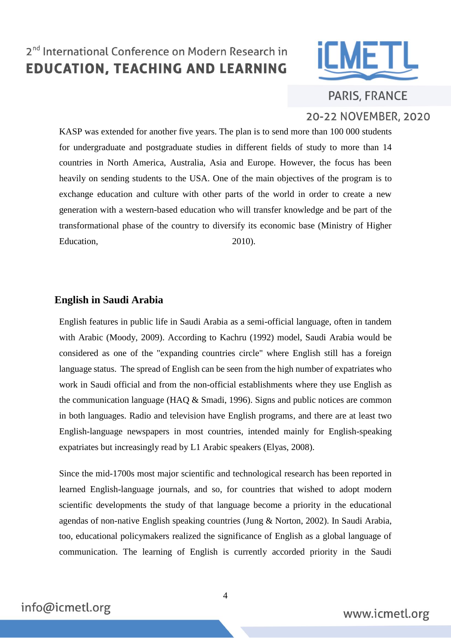

PARIS, FRANCE

#### 20-22 NOVEMBER, 2020

KASP was extended for another five years. The plan is to send more than 100 000 students for undergraduate and postgraduate studies in different fields of study to more than 14 countries in North America, Australia, Asia and Europe. However, the focus has been heavily on sending students to the USA. One of the main objectives of the program is to exchange education and culture with other parts of the world in order to create a new generation with a western-based education who will transfer knowledge and be part of the transformational phase of the country to diversify its economic base (Ministry of Higher Education, 2010).

#### **English in Saudi Arabia**

English features in public life in Saudi Arabia as a semi-official language, often in tandem with Arabic (Moody, 2009). According to Kachru (1992) model, Saudi Arabia would be considered as one of the "expanding countries circle" where English still has a foreign language status. The spread of English can be seen from the high number of expatriates who work in Saudi official and from the non-official establishments where they use English as the communication language (HAQ & Smadi, 1996). Signs and public notices are common in both languages. Radio and television have English programs, and there are at least two English-language newspapers in most countries, intended mainly for English-speaking expatriates but increasingly read by L1 Arabic speakers (Elyas, 2008).

Since the mid-1700s most major scientific and technological research has been reported in learned English-language journals, and so, for countries that wished to adopt modern scientific developments the study of that language become a priority in the educational agendas of non-native English speaking countries (Jung & Norton, 2002). In Saudi Arabia, too, educational policymakers realized the significance of English as a global language of communication. The learning of English is currently accorded priority in the Saudi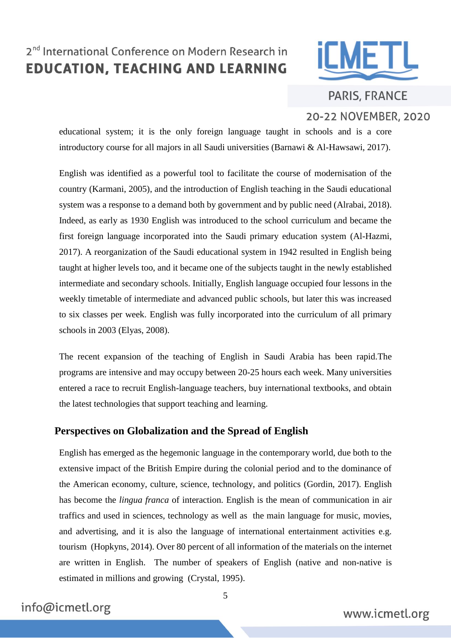

**PARIS, FRANCE** 20-22 NOVEMBER, 2020

educational system; it is the only foreign language taught in schools and is a core introductory course for all majors in all Saudi universities (Barnawi & Al-Hawsawi, 2017).

English was identified as a powerful tool to facilitate the course of modernisation of the country (Karmani, 2005), and the introduction of English teaching in the Saudi educational system was a response to a demand both by government and by public need (Alrabai, 2018). Indeed, as early as 1930 English was introduced to the school curriculum and became the first foreign language incorporated into the Saudi primary education system (Al-Hazmi, 2017). A reorganization of the Saudi educational system in 1942 resulted in English being taught at higher levels too, and it became one of the subjects taught in the newly established intermediate and secondary schools. Initially, English language occupied four lessons in the weekly timetable of intermediate and advanced public schools, but later this was increased to six classes per week. English was fully incorporated into the curriculum of all primary schools in 2003 (Elyas, 2008).

The recent expansion of the teaching of English in Saudi Arabia has been rapid.The programs are intensive and may occupy between 20-25 hours each week. Many universities entered a race to recruit English-language teachers, buy international textbooks, and obtain the latest technologies that support teaching and learning.

#### **Perspectives on Globalization and the Spread of English**

English has emerged as the hegemonic language in the contemporary world, due both to the extensive impact of the British Empire during the colonial period and to the dominance of the American economy, culture, science, technology, and politics (Gordin, 2017). English has become the *lingua franca* of interaction. English is the mean of communication in air traffics and used in sciences, technology as well as the main language for music, movies, and advertising, and it is also the language of international entertainment activities e.g. tourism (Hopkyns, 2014). Over 80 percent of all information of the materials on the internet are written in English. The number of speakers of English (native and non-native is estimated in millions and growing (Crystal, 1995).

### info@icmetl.org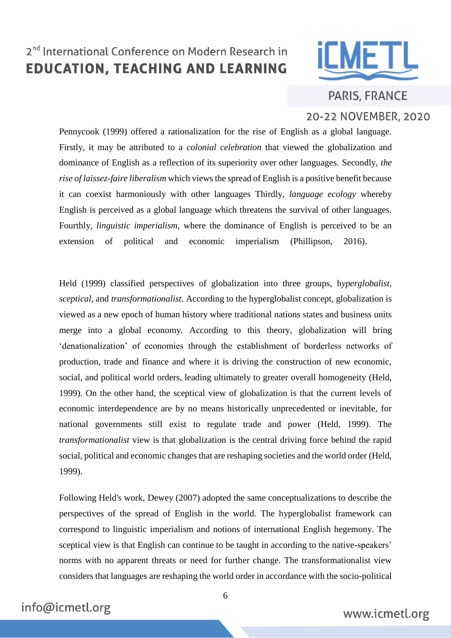

**PARIS, FRANCE** 20-22 NOVEMBER, 2020

Pennycook (1999) offered a rationalization for the rise of English as a global language. Firstly, it may be attributed to a *colonial celebration* that viewed the globalization and dominance of English as a reflection of its superiority over other languages. Secondly, *the rise of laissez-faire liberalism* which views the spread of English is a positive benefit because it can coexist harmoniously with other languages Thirdly, *language ecology* whereby English is perceived as a global language which threatens the survival of other languages. Fourthly, *linguistic imperialism*, where the dominance of English is perceived to be an extension of political and economic imperialism (Phillipson, 2016).

Held (1999) classified perspectives of globalization into three groups, h*yperglobalist, sceptical,* and *transformationalist*. According to the hyperglobalist concept, globalization is viewed as a new epoch of human history where traditional nations states and business units merge into a global economy. According to this theory, globalization will bring 'denationalization' of economies through the establishment of borderless networks of production, trade and finance and where it is driving the construction of new economic, social, and political world orders, leading ultimately to greater overall homogeneity (Held, 1999). On the other hand, the sceptical view of globalization is that the current levels of economic interdependence are by no means historically unprecedented or inevitable, for national governments still exist to regulate trade and power (Held, 1999). The *transformationalist* view is that globalization is the central driving force behind the rapid social, political and economic changes that are reshaping societies and the world order (Held, 1999).

Following Held's work, Dewey (2007) adopted the same conceptualizations to describe the perspectives of the spread of English in the world. The hyperglobalist framework can correspond to linguistic imperialism and notions of international English hegemony. The sceptical view is that English can continue to be taught in according to the native-speakers' norms with no apparent threats or need for further change. The transformationalist view considers that languages are reshaping the world order in accordance with the socio-political

### info@icmetl.org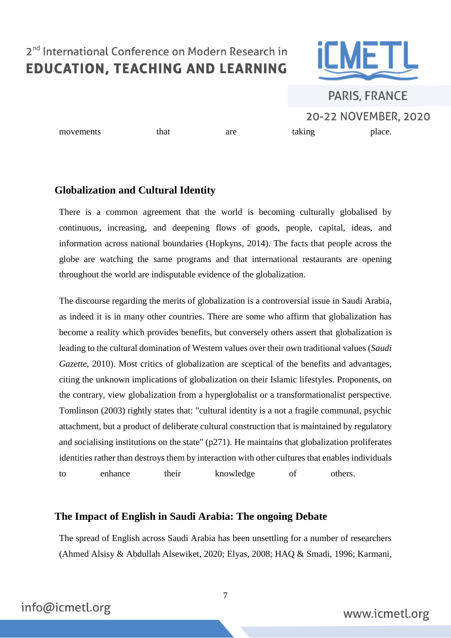

# **PARIS, FRANCE** 20-22 NOVEMBER, 2020 movements that are taking place.

#### **Globalization and Cultural Identity**

There is a common agreement that the world is becoming culturally globalised by continuous, increasing, and deepening flows of goods, people, capital, ideas, and information across national boundaries (Hopkyns, 2014). The facts that people across the globe are watching the same programs and that international restaurants are opening throughout the world are indisputable evidence of the globalization.

The discourse regarding the merits of globalization is a controversial issue in Saudi Arabia, as indeed it is in many other countries. There are some who affirm that globalization has become a reality which provides benefits, but conversely others assert that globalization is leading to the cultural domination of Western values over their own traditional values (*Saudi Gazette*, 2010). Most critics of globalization are sceptical of the benefits and advantages, citing the unknown implications of globalization on their Islamic lifestyles. Proponents, on the contrary, view globalization from a hyperglobalist or a transformationalist perspective. Tomlinson (2003) rightly states that: "cultural identity is a not a fragile communal, psychic attachment, but a product of deliberate cultural construction that is maintained by regulatory and socialising institutions on the state" (p271). He maintains that globalization proliferates identities rather than destroys them by interaction with other cultures that enables individuals to enhance their knowledge of others.

#### **The Impact of English in Saudi Arabia: The ongoing Debate**

The spread of English across Saudi Arabia has been unsettling for a number of researchers (Ahmed Alsisy & Abdullah Alsewiket, 2020; Elyas, 2008; HAQ & Smadi, 1996; Karmani,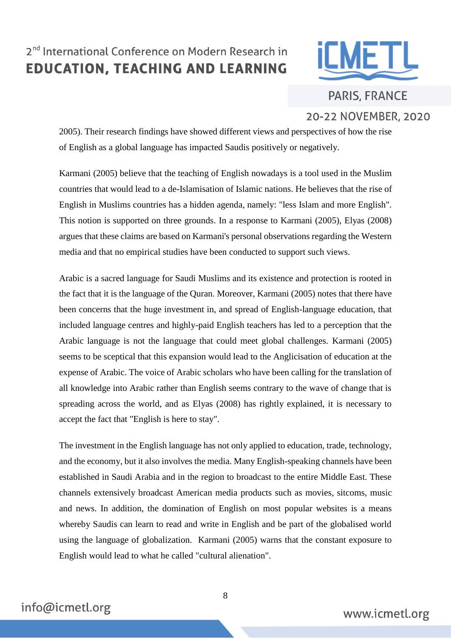

**PARIS, FRANCE** 20-22 NOVEMBER, 2020

2005). Their research findings have showed different views and perspectives of how the rise of English as a global language has impacted Saudis positively or negatively.

Karmani (2005) believe that the teaching of English nowadays is a tool used in the Muslim countries that would lead to a de-Islamisation of Islamic nations. He believes that the rise of English in Muslims countries has a hidden agenda, namely: "less Islam and more English". This notion is supported on three grounds. In a response to Karmani (2005), Elyas (2008) argues that these claims are based on Karmani's personal observations regarding the Western media and that no empirical studies have been conducted to support such views.

Arabic is a sacred language for Saudi Muslims and its existence and protection is rooted in the fact that it is the language of the Quran. Moreover, Karmani (2005) notes that there have been concerns that the huge investment in, and spread of English-language education, that included language centres and highly-paid English teachers has led to a perception that the Arabic language is not the language that could meet global challenges. Karmani (2005) seems to be sceptical that this expansion would lead to the Anglicisation of education at the expense of Arabic. The voice of Arabic scholars who have been calling for the translation of all knowledge into Arabic rather than English seems contrary to the wave of change that is spreading across the world, and as Elyas (2008) has rightly explained, it is necessary to accept the fact that "English is here to stay".

The investment in the English language has not only applied to education, trade, technology, and the economy, but it also involves the media. Many English-speaking channels have been established in Saudi Arabia and in the region to broadcast to the entire Middle East. These channels extensively broadcast American media products such as movies, sitcoms, music and news. In addition, the domination of English on most popular websites is a means whereby Saudis can learn to read and write in English and be part of the globalised world using the language of globalization. Karmani (2005) warns that the constant exposure to English would lead to what he called "cultural alienation".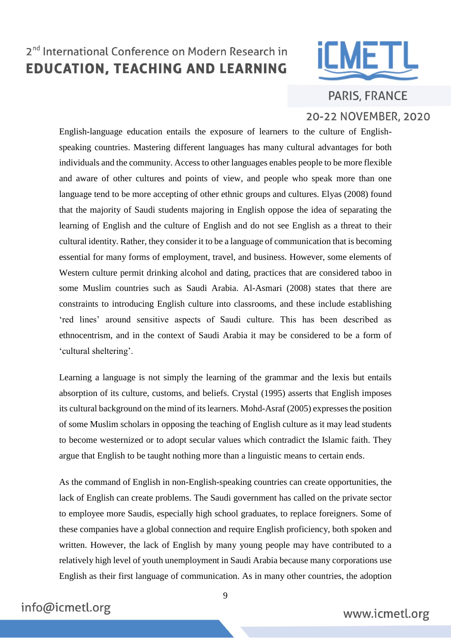

**PARIS, FRANCE** 20-22 NOVEMBER, 2020

English-language education entails the exposure of learners to the culture of Englishspeaking countries. Mastering different languages has many cultural advantages for both individuals and the community. Access to other languages enables people to be more flexible and aware of other cultures and points of view, and people who speak more than one language tend to be more accepting of other ethnic groups and cultures. Elyas (2008) found that the majority of Saudi students majoring in English oppose the idea of separating the learning of English and the culture of English and do not see English as a threat to their cultural identity. Rather, they consider it to be a language of communication that is becoming essential for many forms of employment, travel, and business. However, some elements of Western culture permit drinking alcohol and dating, practices that are considered taboo in some Muslim countries such as Saudi Arabia. Al-Asmari (2008) states that there are constraints to introducing English culture into classrooms, and these include establishing 'red lines' around sensitive aspects of Saudi culture. This has been described as ethnocentrism, and in the context of Saudi Arabia it may be considered to be a form of 'cultural sheltering'.

Learning a language is not simply the learning of the grammar and the lexis but entails absorption of its culture, customs, and beliefs. Crystal (1995) asserts that English imposes its cultural background on the mind of its learners. Mohd-Asraf (2005) expresses the position of some Muslim scholars in opposing the teaching of English culture as it may lead students to become westernized or to adopt secular values which contradict the Islamic faith. They argue that English to be taught nothing more than a linguistic means to certain ends.

As the command of English in non-English-speaking countries can create opportunities, the lack of English can create problems. The Saudi government has called on the private sector to employee more Saudis, especially high school graduates, to replace foreigners. Some of these companies have a global connection and require English proficiency, both spoken and written. However, the lack of English by many young people may have contributed to a relatively high level of youth unemployment in Saudi Arabia because many corporations use English as their first language of communication. As in many other countries, the adoption

### info@icmetl.org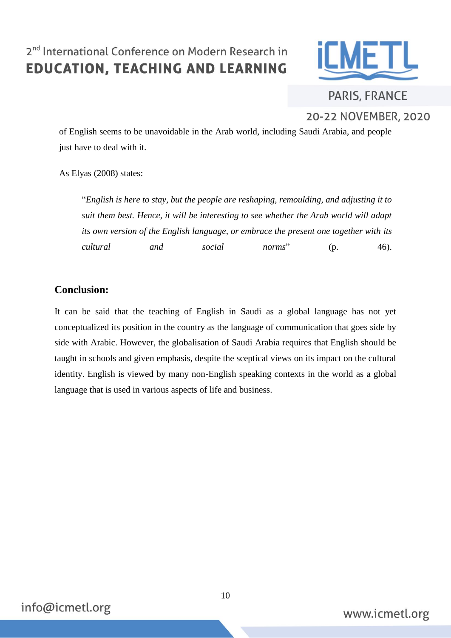

**PARIS, FRANCE** 20-22 NOVEMBER, 2020

of English seems to be unavoidable in the Arab world, including Saudi Arabia, and people just have to deal with it.

As Elyas (2008) states:

"*English is here to stay, but the people are reshaping, remoulding, and adjusting it to suit them best. Hence, it will be interesting to see whether the Arab world will adapt its own version of the English language, or embrace the present one together with its cultural and social norms*" (p. 46).

#### **Conclusion:**

It can be said that the teaching of English in Saudi as a global language has not yet conceptualized its position in the country as the language of communication that goes side by side with Arabic. However, the globalisation of Saudi Arabia requires that English should be taught in schools and given emphasis, despite the sceptical views on its impact on the cultural identity. English is viewed by many non-English speaking contexts in the world as a global language that is used in various aspects of life and business.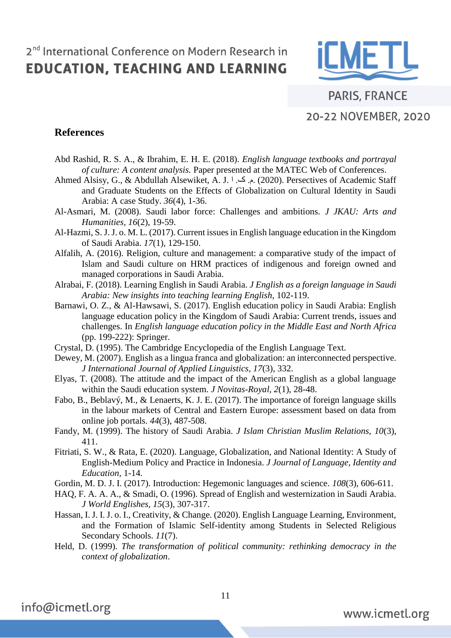

PARIS, FRANCE 20-22 NOVEMBER, 2020

#### **References**

- Abd Rashid, R. S. A., & Ibrahim, E. H. E. (2018). *English language textbooks and portrayal of culture: A content analysis.* Paper presented at the MATEC Web of Conferences.
- Ahmed Alsisy, G., & Abdullah Alsewiket, A. J. اح.  $\geq$  2020). Persectives of Academic Staff and Graduate Students on the Effects of Globalization on Cultural Identity in Saudi Arabia: A case Study. *36*(4), 1-36.
- Al-Asmari, M. (2008). Saudi labor force: Challenges and ambitions. *J JKAU: Arts and Humanities, 16*(2), 19-59.
- Al-Hazmi, S. J. J. o. M. L. (2017). Current issues in English language education in the Kingdom of Saudi Arabia. *17*(1), 129-150.
- Alfalih, A. (2016). Religion, culture and management: a comparative study of the impact of Islam and Saudi culture on HRM practices of indigenous and foreign owned and managed corporations in Saudi Arabia.
- Alrabai, F. (2018). Learning English in Saudi Arabia. *J English as a foreign language in Saudi Arabia: New insights into teaching learning English*, 102-119.
- Barnawi, O. Z., & Al-Hawsawi, S. (2017). English education policy in Saudi Arabia: English language education policy in the Kingdom of Saudi Arabia: Current trends, issues and challenges. In *English language education policy in the Middle East and North Africa* (pp. 199-222): Springer.
- Crystal, D. (1995). The Cambridge Encyclopedia of the English Language Text.
- Dewey, M. (2007). English as a lingua franca and globalization: an interconnected perspective. *J International Journal of Applied Linguistics, 17*(3), 332.
- Elyas, T. (2008). The attitude and the impact of the American English as a global language within the Saudi education system. *J Novitas-Royal, 2*(1), 28-48.
- Fabo, B., Beblavý, M., & Lenaerts, K. J. E. (2017). The importance of foreign language skills in the labour markets of Central and Eastern Europe: assessment based on data from online job portals. *44*(3), 487-508.
- Fandy, M. (1999). The history of Saudi Arabia. *J Islam Christian Muslim Relations, 10*(3), 411.
- Fitriati, S. W., & Rata, E. (2020). Language, Globalization, and National Identity: A Study of English-Medium Policy and Practice in Indonesia. *J Journal of Language, Identity and Education*, 1-14.
- Gordin, M. D. J. I. (2017). Introduction: Hegemonic languages and science. *108*(3), 606-611.
- HAQ, F. A. A. A., & Smadi, O. (1996). Spread of English and westernization in Saudi Arabia. *J World Englishes, 15*(3), 307-317.
- Hassan, I. J. I. J. o. I., Creativity, & Change. (2020). English Language Learning, Environment, and the Formation of Islamic Self-identity among Students in Selected Religious Secondary Schools. *11*(7).
- Held, D. (1999). *The transformation of political community: rethinking democracy in the context of globalization*.

info@icmetl.org

11